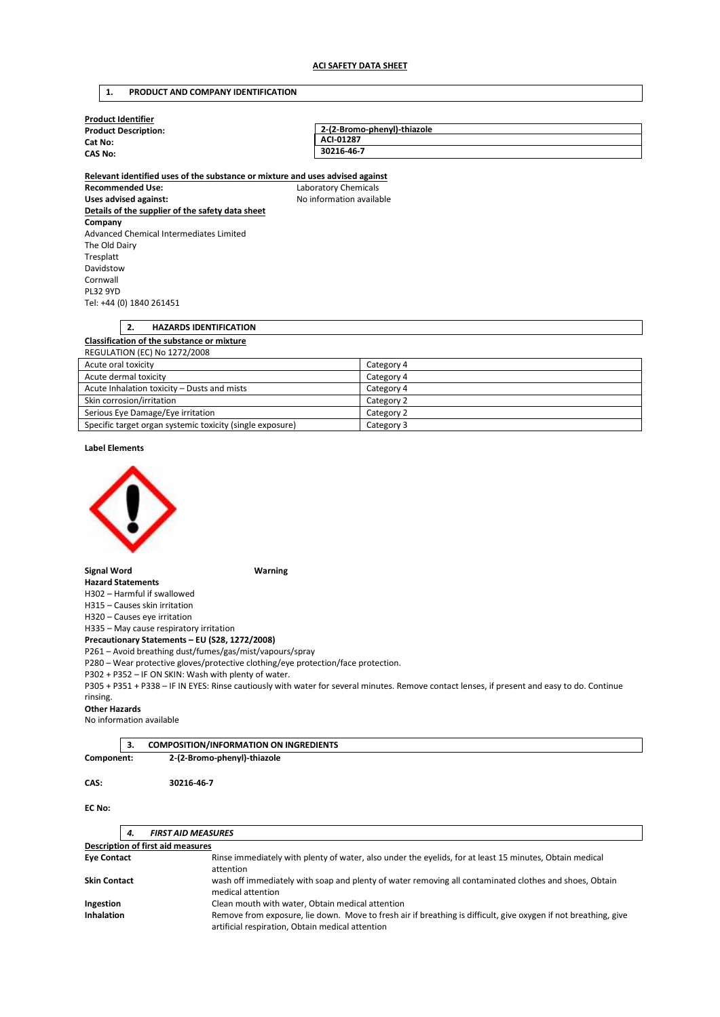## **1. PRODUCT AND COMPANY IDENTIFICATION**

| <b>Product Identifier</b>   |                             |  |
|-----------------------------|-----------------------------|--|
| <b>Product Description:</b> | 2-(2-Bromo-phenyl)-thiazole |  |
| Cat No:<br><b>CAS No:</b>   | ACI-01287                   |  |
|                             | 30216-46-7                  |  |
|                             |                             |  |

**Relevant identified uses of the substance or mixture and uses advised against Recommended Use:** Laboratory Chemicals Uses advised against: **No information available Details of the supplier of the safety data sheet Company**  Advanced Chemical Intermediates Limited The Old Dairy Tresplatt Davidstow Cornwall PL32 9YD Tel: +44 (0) 1840 261451

# **2. HAZARDS IDENTIFICATION Classification of the substance or mixture**  REGULATION (EC) No 1272/2008 Acute oral toxicity Category 4<br>
Acute dermal toxicity Category 4<br>
Category 4 Acute dermal toxicity

| Acute Inhalation toxicity – Dusts and mists               | Category 4 |
|-----------------------------------------------------------|------------|
| Skin corrosion/irritation                                 | Category 2 |
| Serious Eye Damage/Eye irritation                         | Category 2 |
| Specific target organ systemic toxicity (single exposure) | Category 3 |

## **Label Elements**



### **Signal Word Warning**

**Hazard Statements**  H302 – Harmful if swallowed

H315 – Causes skin irritation

H320 – Causes eye irritation

H335 – May cause respiratory irritation

**Precautionary Statements – EU (S28, 1272/2008)** 

P261 – Avoid breathing dust/fumes/gas/mist/vapours/spray

P280 – Wear protective gloves/protective clothing/eye protection/face protection.

P302 + P352 – IF ON SKIN: Wash with plenty of water.

P305 + P351 + P338 – IF IN EYES: Rinse cautiously with water for several minutes. Remove contact lenses, if present and easy to do. Continue

#### rinsing. **Other Hazards**

No information available

|            |  | <b>COMPOSITION/INFORMATION ON INGREDIENTS</b> |  |
|------------|--|-----------------------------------------------|--|
| Component: |  | 2-(2-Bromo-phenyl)-thiazole                   |  |

**CAS: 30216-46-7** 

## **EC No:**

| <b>FIRST AID MEASURES</b><br>4.   |                                                                                                                                                                     |  |
|-----------------------------------|---------------------------------------------------------------------------------------------------------------------------------------------------------------------|--|
| Description of first aid measures |                                                                                                                                                                     |  |
| <b>Eye Contact</b>                | Rinse immediately with plenty of water, also under the eyelids, for at least 15 minutes, Obtain medical<br>attention                                                |  |
| <b>Skin Contact</b>               | wash off immediately with soap and plenty of water removing all contaminated clothes and shoes, Obtain<br>medical attention                                         |  |
| Ingestion                         | Clean mouth with water, Obtain medical attention                                                                                                                    |  |
| <b>Inhalation</b>                 | Remove from exposure, lie down. Move to fresh air if breathing is difficult, give oxygen if not breathing, give<br>artificial respiration, Obtain medical attention |  |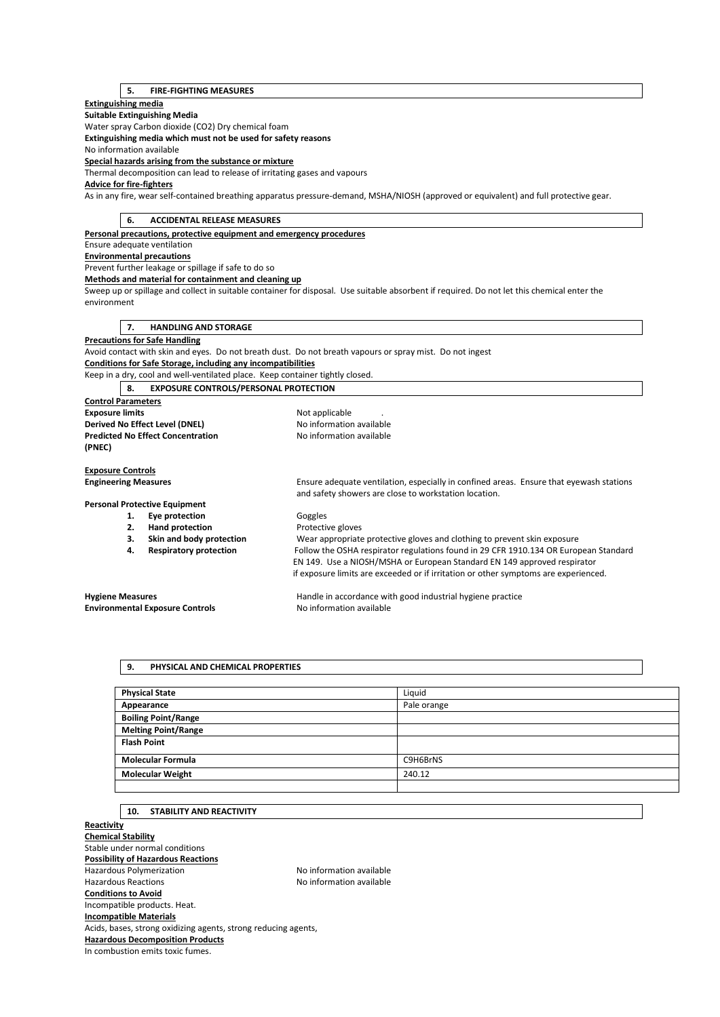# **5. FIRE-FIGHTING MEASURES**

## **Extinguishing media**

**Suitable Extinguishing Media** 

Water spray Carbon dioxide (CO2) Dry chemical foam

**Extinguishing media which must not be used for safety reasons** 

No information available

**Special hazards arising from the substance or mixture** 

Thermal decomposition can lead to release of irritating gases and vapours

# **Advice for fire-fighters**

As in any fire, wear self-contained breathing apparatus pressure-demand, MSHA/NIOSH (approved or equivalent) and full protective gear.

| <b>ACCIDENTAL RELEASE MEASURES</b><br>6.                                      |                                                                                                                                                  |  |
|-------------------------------------------------------------------------------|--------------------------------------------------------------------------------------------------------------------------------------------------|--|
| Personal precautions, protective equipment and emergency procedures           |                                                                                                                                                  |  |
| Ensure adequate ventilation                                                   |                                                                                                                                                  |  |
| <b>Environmental precautions</b>                                              |                                                                                                                                                  |  |
| Prevent further leakage or spillage if safe to do so                          |                                                                                                                                                  |  |
| Methods and material for containment and cleaning up                          |                                                                                                                                                  |  |
|                                                                               | Sweep up or spillage and collect in suitable container for disposal. Use suitable absorbent if required. Do not let this chemical enter the      |  |
| environment                                                                   |                                                                                                                                                  |  |
|                                                                               |                                                                                                                                                  |  |
| <b>HANDLING AND STORAGE</b><br>7.                                             |                                                                                                                                                  |  |
| <b>Precautions for Safe Handling</b>                                          |                                                                                                                                                  |  |
|                                                                               | Avoid contact with skin and eyes. Do not breath dust. Do not breath vapours or spray mist. Do not ingest                                         |  |
| <b>Conditions for Safe Storage, including any incompatibilities</b>           |                                                                                                                                                  |  |
| Keep in a dry, cool and well-ventilated place. Keep container tightly closed. |                                                                                                                                                  |  |
| <b>EXPOSURE CONTROLS/PERSONAL PROTECTION</b><br>8.                            |                                                                                                                                                  |  |
| <b>Control Parameters</b>                                                     |                                                                                                                                                  |  |
| <b>Exposure limits</b>                                                        | Not applicable                                                                                                                                   |  |
| Derived No Effect Level (DNEL)                                                | No information available                                                                                                                         |  |
| <b>Predicted No Effect Concentration</b>                                      | No information available                                                                                                                         |  |
| (PNEC)                                                                        |                                                                                                                                                  |  |
|                                                                               |                                                                                                                                                  |  |
| <b>Exposure Controls</b>                                                      |                                                                                                                                                  |  |
| <b>Engineering Measures</b>                                                   | Ensure adequate ventilation, especially in confined areas. Ensure that eyewash stations<br>and safety showers are close to workstation location. |  |
| <b>Personal Protective Equipment</b>                                          |                                                                                                                                                  |  |
| Eye protection<br>1.                                                          | Goggles                                                                                                                                          |  |
| 2.<br><b>Hand protection</b>                                                  | Protective gloves                                                                                                                                |  |
| Skin and body protection<br>3.                                                | Wear appropriate protective gloves and clothing to prevent skin exposure                                                                         |  |
| <b>Respiratory protection</b><br>4.                                           | Follow the OSHA respirator regulations found in 29 CFR 1910.134 OR European Standard                                                             |  |
|                                                                               | EN 149. Use a NIOSH/MSHA or European Standard EN 149 approved respirator                                                                         |  |
|                                                                               | if exposure limits are exceeded or if irritation or other symptoms are experienced.                                                              |  |
|                                                                               |                                                                                                                                                  |  |
| <b>Hygiene Measures</b>                                                       | Handle in accordance with good industrial hygiene practice                                                                                       |  |
| <b>Environmental Exposure Controls</b>                                        | No information available                                                                                                                         |  |
|                                                                               |                                                                                                                                                  |  |

# **9. PHYSICAL AND CHEMICAL PROPERTIES**

| <b>Physical State</b>      | Liquid      |
|----------------------------|-------------|
| Appearance                 | Pale orange |
| <b>Boiling Point/Range</b> |             |
| <b>Melting Point/Range</b> |             |
| <b>Flash Point</b>         |             |
| <b>Molecular Formula</b>   | C9H6BrNS    |
| <b>Molecular Weight</b>    | 240.12      |
|                            |             |

# **10. STABILITY AND REACTIVITY**

**Reactivity Chemical Stability**  Stable under normal conditions **Possibility of Hazardous Reactions**  Hazardous Polymerization and the Society of the No information available<br>Hazardous Reactions available No information available No information available **Conditions to Avoid**  Incompatible products. Heat. **Incompatible Materials**  Acids, bases, strong oxidizing agents, strong reducing agents, **Hazardous Decomposition Products**  In combustion emits toxic fumes.